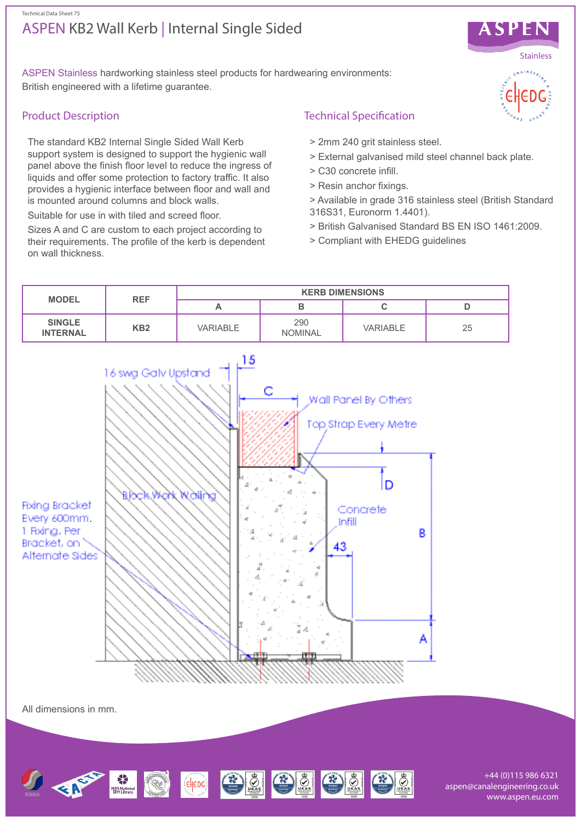## ASPEN KB2 Wall Kerb | Internal Single Sided Technical Data Sheet 75



ASPEN Stainless hardworking stainless steel products for hardwearing environments: British engineered with a lifetime guarantee.

## Product Description

The standard KB2 Internal Single Sided Wall Kerb support system is designed to support the hygienic wall panel above the finish floor level to reduce the ingress of liquids and offer some protection to factory traffic. It also provides a hygienic interface between floor and wall and is mounted around columns and block walls.

Suitable for use in with tiled and screed floor.

Sizes A and C are custom to each project according to their requirements. The profile of the kerb is dependent on wall thickness.

# Technical Specification

- > 2mm 240 grit stainless steel.
- > External galvanised mild steel channel back plate.
- > C30 concrete infill.
- > Resin anchor fixings.
- > Available in grade 316 stainless steel (British Standard 316S31, Euronorm 1.4401).
- > British Galvanised Standard BS EN ISO 1461:2009.
- > Compliant with EHEDG guidelines



All dimensions in mm.



+44 (0)115 986 6321 aspen@canalengineering.co.uk www.aspen.eu.com